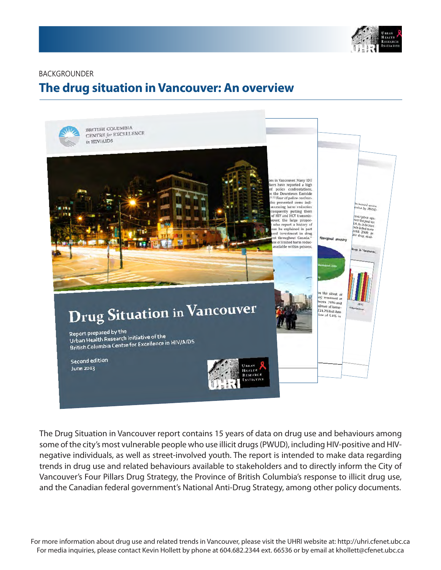

#### BACKGROUNDER

### **The drug situation in Vancouver: An overview**



The Drug Situation in Vancouver report contains 15 years of data on drug use and behaviours among some of the city's most vulnerable people who use illicit drugs (PWUD), including HIV-positive and HIVnegative individuals, as well as street-involved youth. The report is intended to make data regarding trends in drug use and related behaviours available to stakeholders and to directly inform the City of Vancouver's Four Pillars Drug Strategy, the Province of British Columbia's response to illicit drug use, and the Canadian federal government's National Anti-Drug Strategy, among other policy documents.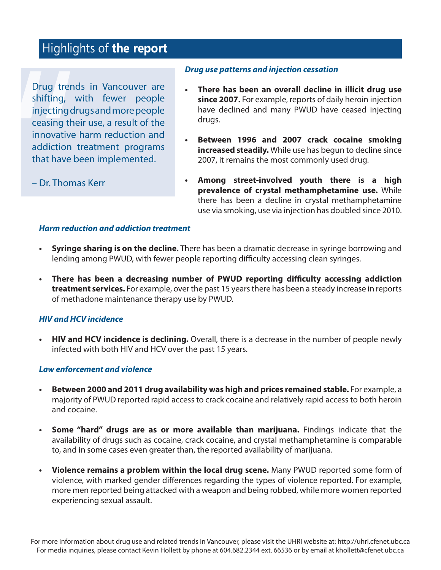# Highlights of **the report**

shifting, w<br>injecting dru<br>ceasing the<br>innovative l<br>addiction t<br>that have bu<br>- Dr. Thoma<br>**Harm redus<br>• Syringe**<br>lending<br>**•** There I Drug trends in Vancouver are shifting, with fewer people injecting drugs and more people ceasing their use, a result of the innovative harm reduction and addiction treatment programs that have been implemented.

– Dr. Thomas Kerr

#### *Drug use patterns and injection cessation*

- **• There has been an overall decline in illicit drug use since 2007.** For example, reports of daily heroin injection have declined and many PWUD have ceased injecting drugs.
- **• Between 1996 and 2007 crack cocaine smoking increased steadily.** While use has begun to decline since 2007, it remains the most commonly used drug.
- **• Among street-involved youth there is a high prevalence of crystal methamphetamine use.** While there has been a decline in crystal methamphetamine use via smoking, use via injection has doubled since 2010.

#### *Harm reduction and addiction treatment*

- **Syringe sharing is on the decline.** There has been a dramatic decrease in syringe borrowing and lending among PWUD, with fewer people reporting difficulty accessing clean syringes.
- **There has been a decreasing number of PWUD reporting difficulty accessing addiction treatment services.** For example, over the past 15 years there has been a steady increase in reports of methadone maintenance therapy use by PWUD.

### *HIV and HCV incidence*

**HIV and HCV incidence is declining.** Overall, there is a decrease in the number of people newly infected with both HIV and HCV over the past 15 years.

#### *Law enforcement and violence*

- **• Between 2000 and 2011 drug availability was high and prices remained stable.** For example, a majority of PWUD reported rapid access to crack cocaine and relatively rapid access to both heroin and cocaine.
- **• Some "hard" drugs are as or more available than marijuana.** Findings indicate that the availability of drugs such as cocaine, crack cocaine, and crystal methamphetamine is comparable to, and in some cases even greater than, the reported availability of marijuana.
- **Violence remains a problem within the local drug scene.** Many PWUD reported some form of violence, with marked gender differences regarding the types of violence reported. For example, more men reported being attacked with a weapon and being robbed, while more women reported experiencing sexual assault.